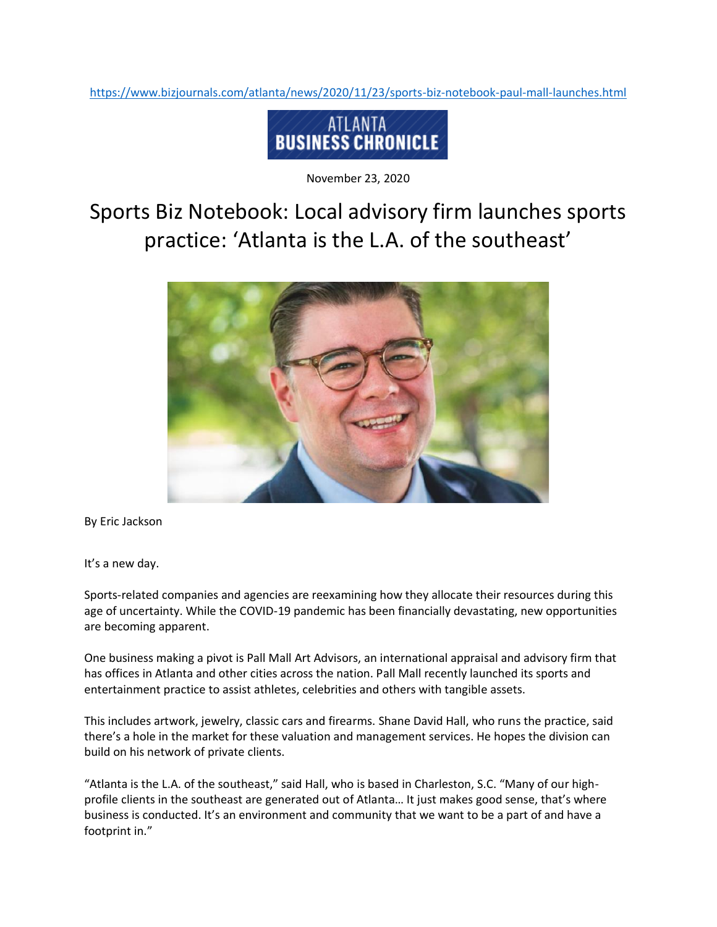<https://www.bizjournals.com/atlanta/news/2020/11/23/sports-biz-notebook-paul-mall-launches.html>



November 23, 2020

## Sports Biz Notebook: Local advisory firm launches sports practice: 'Atlanta is the L.A. of the southeast'



By Eric Jackson

It's a new day.

Sports-related companies and agencies are reexamining how they allocate their resources during this age of uncertainty. While the COVID-19 pandemic has been financially devastating, new opportunities are becoming apparent.

One business making a pivot is Pall Mall Art Advisors, an international appraisal and advisory firm that has offices in Atlanta and other cities across the nation. Pall Mall recently launched its sports and entertainment practice to assist athletes, celebrities and others with tangible assets.

This includes artwork, jewelry, classic cars and firearms. Shane David Hall, who runs the practice, said there's a hole in the market for these valuation and management services. He hopes the division can build on his network of private clients.

"Atlanta is the L.A. of the southeast," said Hall, who is based in Charleston, S.C. "Many of our highprofile clients in the southeast are generated out of Atlanta… It just makes good sense, that's where business is conducted. It's an environment and community that we want to be a part of and have a footprint in."